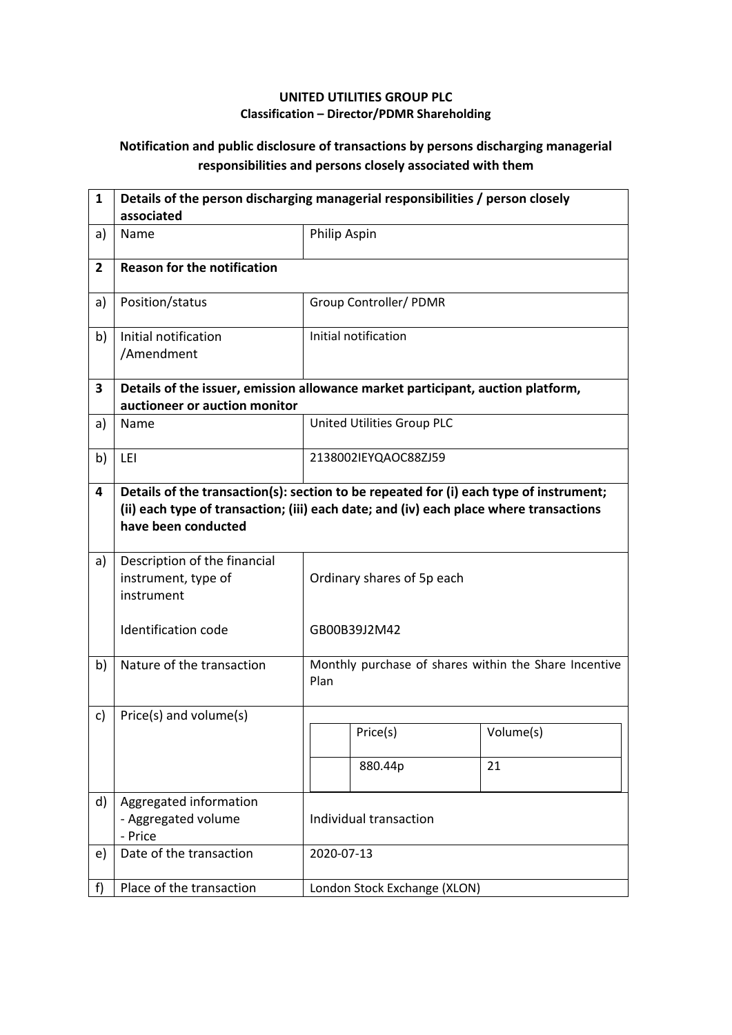## **UNITED UTILITIES GROUP PLC Classification – Director/PDMR Shareholding**

## **Notification and public disclosure of transactions by persons discharging managerial responsibilities and persons closely associated with them**

| $\mathbf{1}$   | Details of the person discharging managerial responsibilities / person closely<br>associated                     |                                                                                                                                                                                  |                              |                                                       |  |
|----------------|------------------------------------------------------------------------------------------------------------------|----------------------------------------------------------------------------------------------------------------------------------------------------------------------------------|------------------------------|-------------------------------------------------------|--|
| a)             | Name                                                                                                             | Philip Aspin                                                                                                                                                                     |                              |                                                       |  |
| $\overline{2}$ | <b>Reason for the notification</b>                                                                               |                                                                                                                                                                                  |                              |                                                       |  |
| a)             | Position/status                                                                                                  |                                                                                                                                                                                  | Group Controller/ PDMR       |                                                       |  |
| b)             | Initial notification<br>/Amendment                                                                               |                                                                                                                                                                                  | Initial notification         |                                                       |  |
| 3              | Details of the issuer, emission allowance market participant, auction platform,<br>auctioneer or auction monitor |                                                                                                                                                                                  |                              |                                                       |  |
| a)             | Name                                                                                                             |                                                                                                                                                                                  | United Utilities Group PLC   |                                                       |  |
| b)             | LEI                                                                                                              | 2138002IEYQAOC88ZJ59                                                                                                                                                             |                              |                                                       |  |
| 4              | have been conducted                                                                                              | Details of the transaction(s): section to be repeated for (i) each type of instrument;<br>(ii) each type of transaction; (iii) each date; and (iv) each place where transactions |                              |                                                       |  |
| a)             | Description of the financial<br>instrument, type of<br>instrument                                                | Ordinary shares of 5p each                                                                                                                                                       |                              |                                                       |  |
|                | <b>Identification code</b>                                                                                       |                                                                                                                                                                                  | GB00B39J2M42                 |                                                       |  |
| b)             | Nature of the transaction                                                                                        | Plan                                                                                                                                                                             |                              | Monthly purchase of shares within the Share Incentive |  |
| c)             | Price(s) and volume(s)                                                                                           |                                                                                                                                                                                  |                              |                                                       |  |
|                |                                                                                                                  |                                                                                                                                                                                  | Price(s)                     | Volume(s)                                             |  |
|                |                                                                                                                  |                                                                                                                                                                                  | 880.44p                      | 21                                                    |  |
| d)             | Aggregated information<br>- Aggregated volume<br>- Price                                                         | Individual transaction                                                                                                                                                           |                              |                                                       |  |
| e)             | Date of the transaction                                                                                          |                                                                                                                                                                                  | 2020-07-13                   |                                                       |  |
| f)             | Place of the transaction                                                                                         |                                                                                                                                                                                  | London Stock Exchange (XLON) |                                                       |  |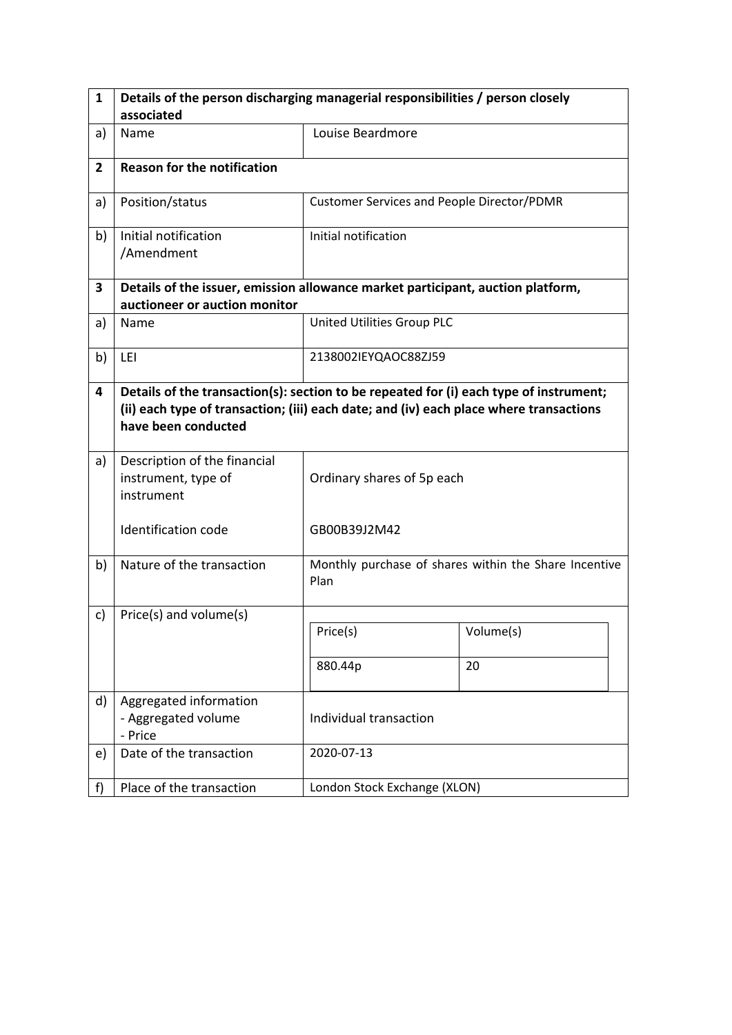| 1              | Details of the person discharging managerial responsibilities / person closely                                                                                                                          |                                            |                                                       |  |  |  |
|----------------|---------------------------------------------------------------------------------------------------------------------------------------------------------------------------------------------------------|--------------------------------------------|-------------------------------------------------------|--|--|--|
|                | associated                                                                                                                                                                                              |                                            |                                                       |  |  |  |
| a)             | Name                                                                                                                                                                                                    | Louise Beardmore                           |                                                       |  |  |  |
| $\overline{2}$ | <b>Reason for the notification</b>                                                                                                                                                                      |                                            |                                                       |  |  |  |
| a)             | Position/status                                                                                                                                                                                         | Customer Services and People Director/PDMR |                                                       |  |  |  |
| b)             | Initial notification<br>/Amendment                                                                                                                                                                      | Initial notification                       |                                                       |  |  |  |
| 3              | Details of the issuer, emission allowance market participant, auction platform,                                                                                                                         |                                            |                                                       |  |  |  |
|                | auctioneer or auction monitor                                                                                                                                                                           |                                            |                                                       |  |  |  |
| a)             | Name                                                                                                                                                                                                    | United Utilities Group PLC                 |                                                       |  |  |  |
| b)             | LEI                                                                                                                                                                                                     | 2138002IEYQAOC88ZJ59                       |                                                       |  |  |  |
| 4              | Details of the transaction(s): section to be repeated for (i) each type of instrument;<br>(ii) each type of transaction; (iii) each date; and (iv) each place where transactions<br>have been conducted |                                            |                                                       |  |  |  |
| a)             | Description of the financial<br>instrument, type of<br>instrument                                                                                                                                       | Ordinary shares of 5p each                 |                                                       |  |  |  |
|                | <b>Identification code</b>                                                                                                                                                                              | GB00B39J2M42                               |                                                       |  |  |  |
| b)             | Nature of the transaction                                                                                                                                                                               | Plan                                       | Monthly purchase of shares within the Share Incentive |  |  |  |
| c)             | Price(s) and volume(s)                                                                                                                                                                                  |                                            |                                                       |  |  |  |
|                |                                                                                                                                                                                                         | Price(s)                                   | Volume(s)                                             |  |  |  |
|                |                                                                                                                                                                                                         | 880.44p                                    | 20                                                    |  |  |  |
| d)             | Aggregated information<br>- Aggregated volume<br>- Price                                                                                                                                                | Individual transaction                     |                                                       |  |  |  |
| e)             | Date of the transaction                                                                                                                                                                                 | 2020-07-13                                 |                                                       |  |  |  |
| f)             | Place of the transaction                                                                                                                                                                                | London Stock Exchange (XLON)               |                                                       |  |  |  |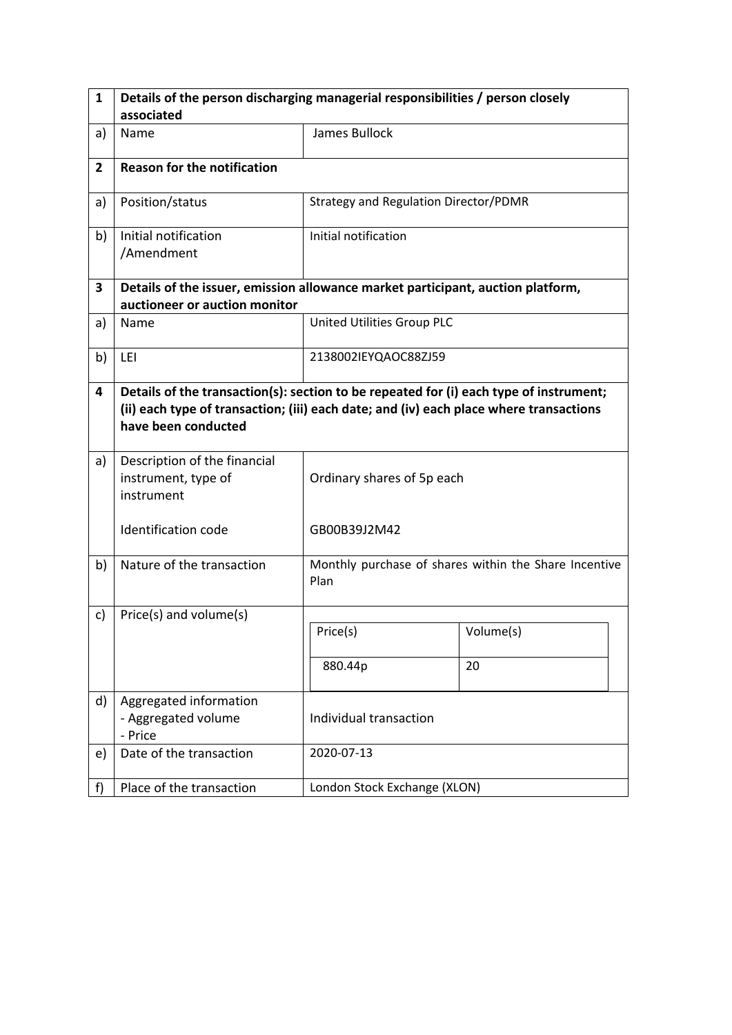| $\mathbf{1}$   | Details of the person discharging managerial responsibilities / person closely                                                                                                                          |                                       |                                                       |  |  |  |
|----------------|---------------------------------------------------------------------------------------------------------------------------------------------------------------------------------------------------------|---------------------------------------|-------------------------------------------------------|--|--|--|
|                | associated                                                                                                                                                                                              |                                       |                                                       |  |  |  |
| a)             | Name                                                                                                                                                                                                    | James Bullock                         |                                                       |  |  |  |
| $\overline{2}$ | <b>Reason for the notification</b>                                                                                                                                                                      |                                       |                                                       |  |  |  |
| a)             | Position/status                                                                                                                                                                                         | Strategy and Regulation Director/PDMR |                                                       |  |  |  |
| b)             | Initial notification<br>/Amendment                                                                                                                                                                      | Initial notification                  |                                                       |  |  |  |
| 3              | Details of the issuer, emission allowance market participant, auction platform,                                                                                                                         |                                       |                                                       |  |  |  |
|                | auctioneer or auction monitor                                                                                                                                                                           |                                       |                                                       |  |  |  |
| a)             | Name                                                                                                                                                                                                    | United Utilities Group PLC            |                                                       |  |  |  |
| b)             | LEI                                                                                                                                                                                                     | 2138002IEYQAOC88ZJ59                  |                                                       |  |  |  |
| 4              | Details of the transaction(s): section to be repeated for (i) each type of instrument;<br>(ii) each type of transaction; (iii) each date; and (iv) each place where transactions<br>have been conducted |                                       |                                                       |  |  |  |
| a)             | Description of the financial<br>instrument, type of<br>instrument                                                                                                                                       | Ordinary shares of 5p each            |                                                       |  |  |  |
|                | Identification code                                                                                                                                                                                     | GB00B39J2M42                          |                                                       |  |  |  |
| b)             | Nature of the transaction                                                                                                                                                                               | Plan                                  | Monthly purchase of shares within the Share Incentive |  |  |  |
| c)             | Price(s) and volume(s)                                                                                                                                                                                  |                                       |                                                       |  |  |  |
|                |                                                                                                                                                                                                         | Price(s)                              | Volume(s)                                             |  |  |  |
|                |                                                                                                                                                                                                         | 880.44p                               | 20                                                    |  |  |  |
| d)             | Aggregated information<br>- Aggregated volume<br>- Price                                                                                                                                                | Individual transaction                |                                                       |  |  |  |
| e)             | Date of the transaction                                                                                                                                                                                 | 2020-07-13                            |                                                       |  |  |  |
| f              | Place of the transaction                                                                                                                                                                                | London Stock Exchange (XLON)          |                                                       |  |  |  |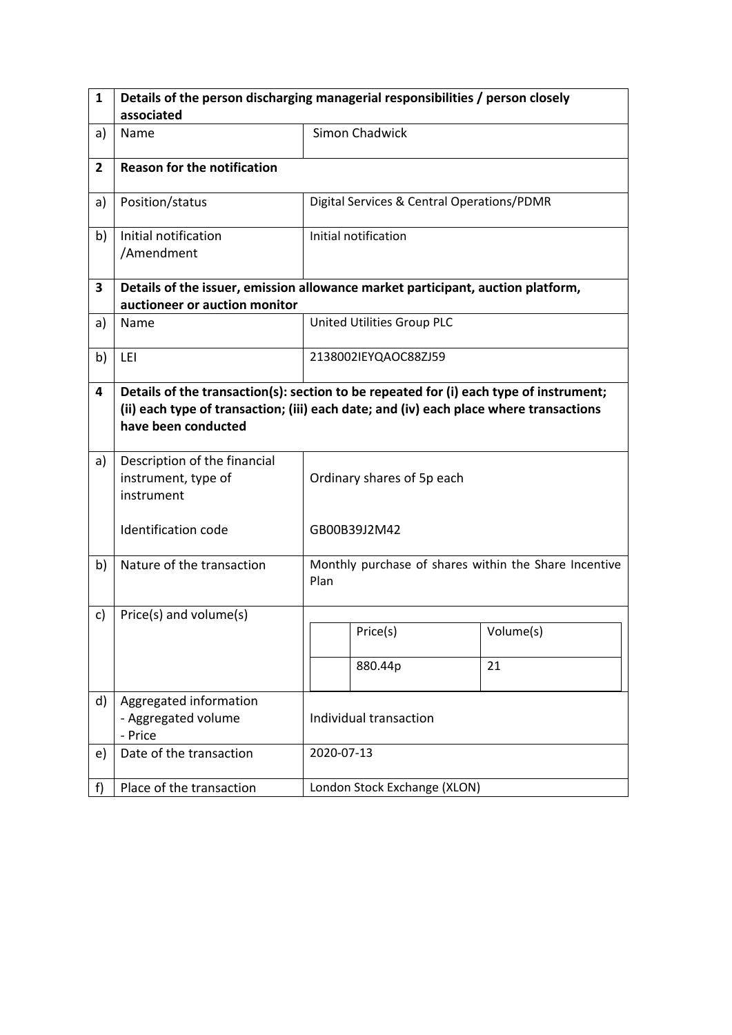| $\mathbf{1}$   | Details of the person discharging managerial responsibilities / person closely                                                                                                                          |                            |                                            |                                                       |  |
|----------------|---------------------------------------------------------------------------------------------------------------------------------------------------------------------------------------------------------|----------------------------|--------------------------------------------|-------------------------------------------------------|--|
|                | associated                                                                                                                                                                                              |                            |                                            |                                                       |  |
| a)             | Name                                                                                                                                                                                                    |                            | <b>Simon Chadwick</b>                      |                                                       |  |
| $\overline{2}$ | <b>Reason for the notification</b>                                                                                                                                                                      |                            |                                            |                                                       |  |
| a)             | Position/status                                                                                                                                                                                         |                            | Digital Services & Central Operations/PDMR |                                                       |  |
| b)             | Initial notification<br>/Amendment                                                                                                                                                                      |                            | Initial notification                       |                                                       |  |
| 3              | Details of the issuer, emission allowance market participant, auction platform,                                                                                                                         |                            |                                            |                                                       |  |
|                | auctioneer or auction monitor                                                                                                                                                                           |                            |                                            |                                                       |  |
| a)             | Name                                                                                                                                                                                                    |                            | United Utilities Group PLC                 |                                                       |  |
| b)             | LEI                                                                                                                                                                                                     |                            | 2138002IEYQAOC88ZJ59                       |                                                       |  |
| 4              | Details of the transaction(s): section to be repeated for (i) each type of instrument;<br>(ii) each type of transaction; (iii) each date; and (iv) each place where transactions<br>have been conducted |                            |                                            |                                                       |  |
| a)             | Description of the financial<br>instrument, type of<br>instrument                                                                                                                                       | Ordinary shares of 5p each |                                            |                                                       |  |
|                | Identification code                                                                                                                                                                                     |                            | GB00B39J2M42                               |                                                       |  |
| b)             | Nature of the transaction                                                                                                                                                                               | Plan                       |                                            | Monthly purchase of shares within the Share Incentive |  |
| c)             | Price(s) and volume(s)                                                                                                                                                                                  |                            |                                            |                                                       |  |
|                |                                                                                                                                                                                                         |                            | Price(s)                                   | Volume(s)                                             |  |
|                |                                                                                                                                                                                                         |                            | 880.44p                                    | 21                                                    |  |
| d)             | Aggregated information<br>- Aggregated volume<br>- Price                                                                                                                                                | Individual transaction     |                                            |                                                       |  |
| e)             | Date of the transaction                                                                                                                                                                                 |                            | 2020-07-13                                 |                                                       |  |
| f              | Place of the transaction                                                                                                                                                                                |                            | London Stock Exchange (XLON)               |                                                       |  |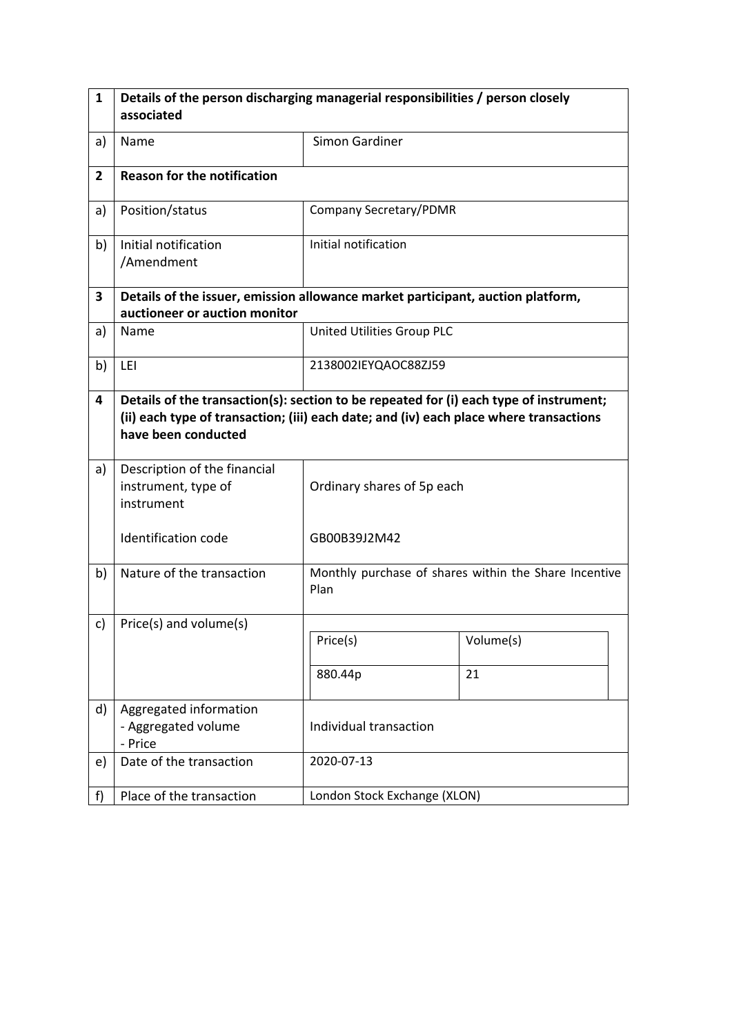| 1              | Details of the person discharging managerial responsibilities / person closely<br>associated                                                                                                            |                               |                                                       |  |  |
|----------------|---------------------------------------------------------------------------------------------------------------------------------------------------------------------------------------------------------|-------------------------------|-------------------------------------------------------|--|--|
| a)             | Name                                                                                                                                                                                                    | Simon Gardiner                |                                                       |  |  |
| $\overline{2}$ | <b>Reason for the notification</b>                                                                                                                                                                      |                               |                                                       |  |  |
| a)             | Position/status                                                                                                                                                                                         | <b>Company Secretary/PDMR</b> |                                                       |  |  |
| b)             | Initial notification<br>/Amendment                                                                                                                                                                      | Initial notification          |                                                       |  |  |
| 3              | Details of the issuer, emission allowance market participant, auction platform,<br>auctioneer or auction monitor                                                                                        |                               |                                                       |  |  |
| a)             | Name                                                                                                                                                                                                    | United Utilities Group PLC    |                                                       |  |  |
| b)             | LEI                                                                                                                                                                                                     | 2138002IEYQAOC88ZJ59          |                                                       |  |  |
| 4              | Details of the transaction(s): section to be repeated for (i) each type of instrument;<br>(ii) each type of transaction; (iii) each date; and (iv) each place where transactions<br>have been conducted |                               |                                                       |  |  |
| a)             | Description of the financial<br>instrument, type of<br>instrument                                                                                                                                       | Ordinary shares of 5p each    |                                                       |  |  |
|                | <b>Identification code</b>                                                                                                                                                                              | GB00B39J2M42                  |                                                       |  |  |
| b)             | Nature of the transaction                                                                                                                                                                               | Plan                          | Monthly purchase of shares within the Share Incentive |  |  |
| c)             | Price(s) and volume(s)                                                                                                                                                                                  |                               |                                                       |  |  |
|                |                                                                                                                                                                                                         | Price(s)                      | Volume(s)                                             |  |  |
|                |                                                                                                                                                                                                         | 880.44p                       | 21                                                    |  |  |
| d)             | Aggregated information<br>- Aggregated volume<br>- Price                                                                                                                                                | Individual transaction        |                                                       |  |  |
| e)             | Date of the transaction                                                                                                                                                                                 | 2020-07-13                    |                                                       |  |  |
| f)             | Place of the transaction                                                                                                                                                                                | London Stock Exchange (XLON)  |                                                       |  |  |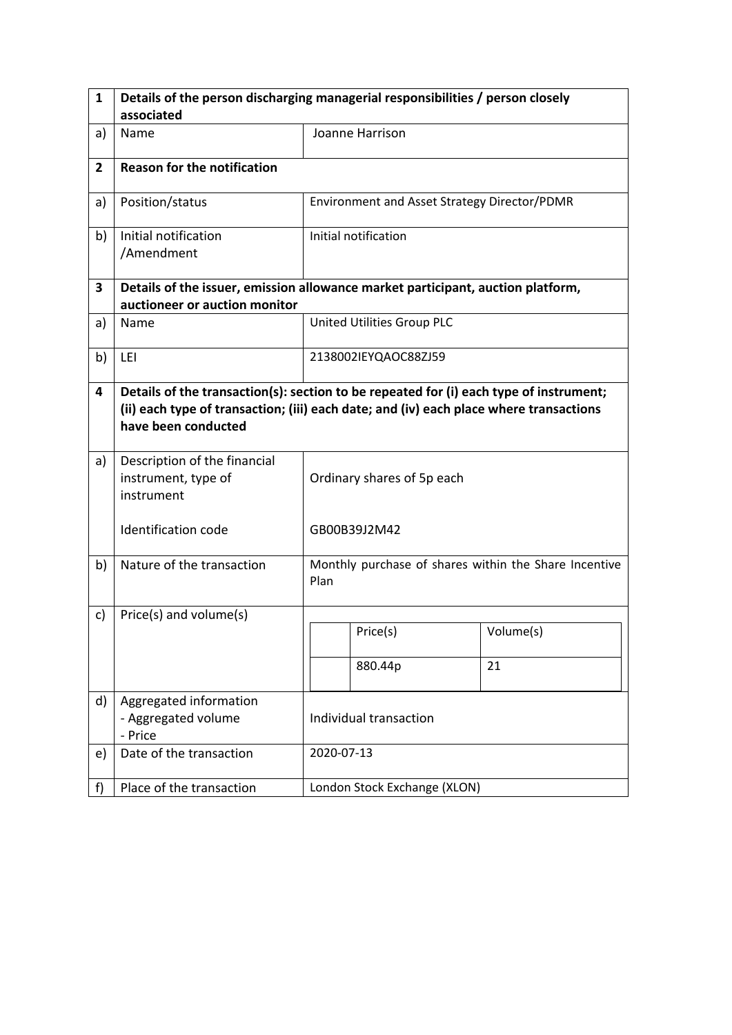| 1              | Details of the person discharging managerial responsibilities / person closely                                                                                                                          |                            |                                              |                                                       |  |
|----------------|---------------------------------------------------------------------------------------------------------------------------------------------------------------------------------------------------------|----------------------------|----------------------------------------------|-------------------------------------------------------|--|
|                | associated                                                                                                                                                                                              |                            |                                              |                                                       |  |
| a)             | Name                                                                                                                                                                                                    |                            | Joanne Harrison                              |                                                       |  |
| $\overline{2}$ | <b>Reason for the notification</b>                                                                                                                                                                      |                            |                                              |                                                       |  |
| a)             | Position/status                                                                                                                                                                                         |                            | Environment and Asset Strategy Director/PDMR |                                                       |  |
| b)             | Initial notification<br>/Amendment                                                                                                                                                                      |                            | Initial notification                         |                                                       |  |
| 3              | Details of the issuer, emission allowance market participant, auction platform,                                                                                                                         |                            |                                              |                                                       |  |
|                | auctioneer or auction monitor                                                                                                                                                                           |                            |                                              |                                                       |  |
| a)             | Name                                                                                                                                                                                                    |                            | United Utilities Group PLC                   |                                                       |  |
| b)             | LEI                                                                                                                                                                                                     |                            | 2138002IEYQAOC88ZJ59                         |                                                       |  |
| 4              | Details of the transaction(s): section to be repeated for (i) each type of instrument;<br>(ii) each type of transaction; (iii) each date; and (iv) each place where transactions<br>have been conducted |                            |                                              |                                                       |  |
| a)             | Description of the financial<br>instrument, type of<br>instrument                                                                                                                                       | Ordinary shares of 5p each |                                              |                                                       |  |
|                | <b>Identification code</b>                                                                                                                                                                              |                            | GB00B39J2M42                                 |                                                       |  |
| b)             | Nature of the transaction                                                                                                                                                                               | Plan                       |                                              | Monthly purchase of shares within the Share Incentive |  |
| c)             | Price(s) and volume(s)                                                                                                                                                                                  |                            |                                              |                                                       |  |
|                |                                                                                                                                                                                                         |                            | Price(s)                                     | Volume(s)                                             |  |
|                |                                                                                                                                                                                                         |                            | 880.44p                                      | 21                                                    |  |
| d)             | Aggregated information<br>- Aggregated volume<br>- Price                                                                                                                                                | Individual transaction     |                                              |                                                       |  |
| e)             | Date of the transaction                                                                                                                                                                                 |                            | 2020-07-13                                   |                                                       |  |
| f)             | Place of the transaction                                                                                                                                                                                |                            | London Stock Exchange (XLON)                 |                                                       |  |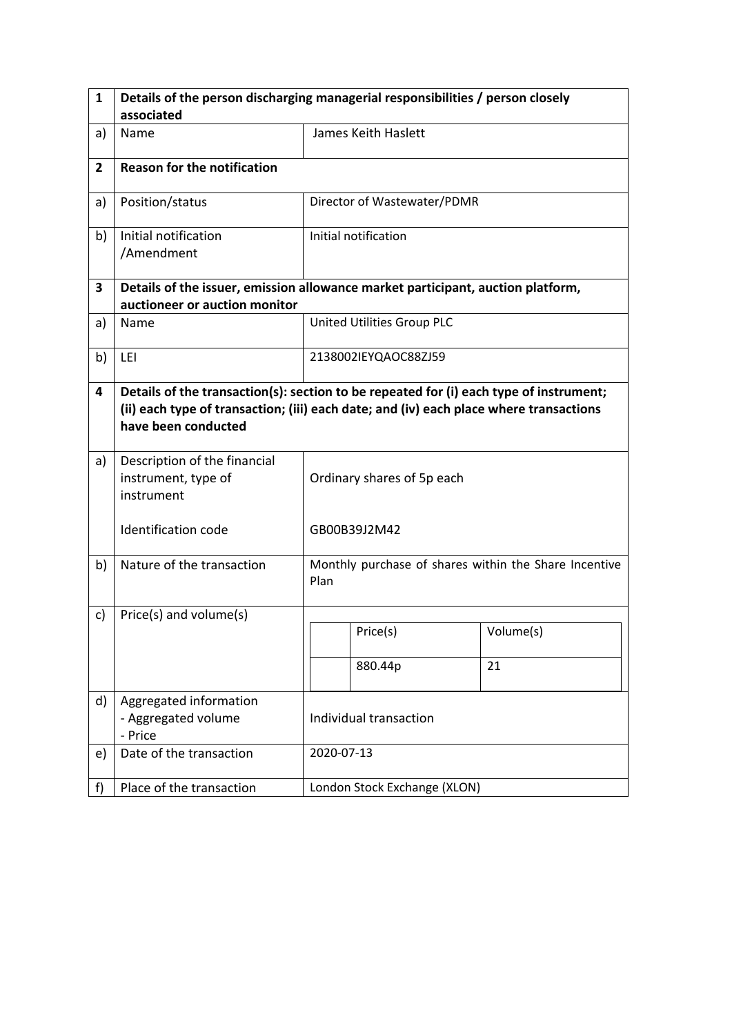| 1              | Details of the person discharging managerial responsibilities / person closely                                                                                                                          |                            |                              |                                                       |  |
|----------------|---------------------------------------------------------------------------------------------------------------------------------------------------------------------------------------------------------|----------------------------|------------------------------|-------------------------------------------------------|--|
|                | associated                                                                                                                                                                                              |                            |                              |                                                       |  |
| a)             | Name                                                                                                                                                                                                    |                            | James Keith Haslett          |                                                       |  |
| $\overline{2}$ | <b>Reason for the notification</b>                                                                                                                                                                      |                            |                              |                                                       |  |
| a)             | Position/status                                                                                                                                                                                         |                            | Director of Wastewater/PDMR  |                                                       |  |
| b)             | Initial notification<br>/Amendment                                                                                                                                                                      |                            | Initial notification         |                                                       |  |
| 3              | Details of the issuer, emission allowance market participant, auction platform,                                                                                                                         |                            |                              |                                                       |  |
|                | auctioneer or auction monitor                                                                                                                                                                           |                            |                              |                                                       |  |
| a)             | Name                                                                                                                                                                                                    |                            | United Utilities Group PLC   |                                                       |  |
| b)             | LEI                                                                                                                                                                                                     | 2138002IEYQAOC88ZJ59       |                              |                                                       |  |
| 4              | Details of the transaction(s): section to be repeated for (i) each type of instrument;<br>(ii) each type of transaction; (iii) each date; and (iv) each place where transactions<br>have been conducted |                            |                              |                                                       |  |
| a)             | Description of the financial<br>instrument, type of<br>instrument                                                                                                                                       | Ordinary shares of 5p each |                              |                                                       |  |
|                | <b>Identification code</b>                                                                                                                                                                              |                            | GB00B39J2M42                 |                                                       |  |
| b)             | Nature of the transaction                                                                                                                                                                               | Plan                       |                              | Monthly purchase of shares within the Share Incentive |  |
| c)             | Price(s) and volume(s)                                                                                                                                                                                  |                            |                              |                                                       |  |
|                |                                                                                                                                                                                                         |                            | Price(s)                     | Volume(s)                                             |  |
|                |                                                                                                                                                                                                         |                            | 880.44p                      | 21                                                    |  |
| d)             | Aggregated information<br>- Aggregated volume<br>- Price                                                                                                                                                | Individual transaction     |                              |                                                       |  |
| e)             | Date of the transaction                                                                                                                                                                                 |                            | 2020-07-13                   |                                                       |  |
| f)             | Place of the transaction                                                                                                                                                                                |                            | London Stock Exchange (XLON) |                                                       |  |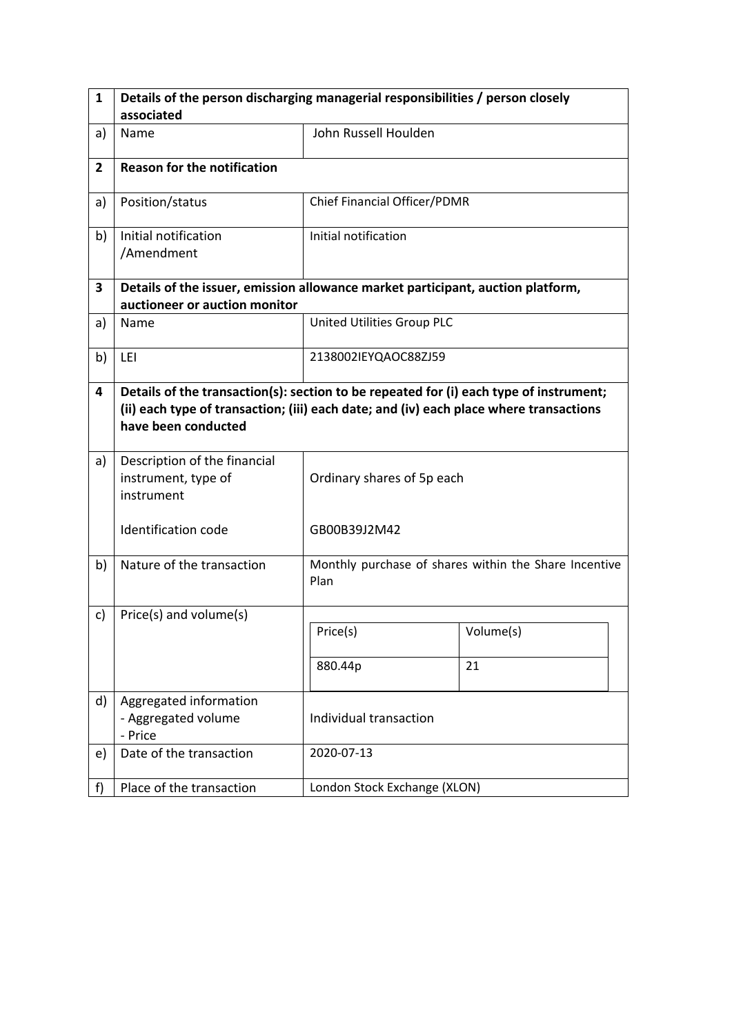| $\mathbf{1}$   | Details of the person discharging managerial responsibilities / person closely                                                                                                                          |                              |                                                       |  |  |  |
|----------------|---------------------------------------------------------------------------------------------------------------------------------------------------------------------------------------------------------|------------------------------|-------------------------------------------------------|--|--|--|
|                | associated                                                                                                                                                                                              |                              |                                                       |  |  |  |
| a)             | Name                                                                                                                                                                                                    | John Russell Houlden         |                                                       |  |  |  |
| $\overline{2}$ | <b>Reason for the notification</b>                                                                                                                                                                      |                              |                                                       |  |  |  |
| a)             | Position/status                                                                                                                                                                                         | Chief Financial Officer/PDMR |                                                       |  |  |  |
| b)             | Initial notification<br>/Amendment                                                                                                                                                                      | Initial notification         |                                                       |  |  |  |
| 3              | Details of the issuer, emission allowance market participant, auction platform,                                                                                                                         |                              |                                                       |  |  |  |
|                | auctioneer or auction monitor                                                                                                                                                                           |                              |                                                       |  |  |  |
| a)             | Name                                                                                                                                                                                                    | United Utilities Group PLC   |                                                       |  |  |  |
| b)             | LEI                                                                                                                                                                                                     | 2138002IEYQAOC88ZJ59         |                                                       |  |  |  |
| 4              | Details of the transaction(s): section to be repeated for (i) each type of instrument;<br>(ii) each type of transaction; (iii) each date; and (iv) each place where transactions<br>have been conducted |                              |                                                       |  |  |  |
| a)             | Description of the financial<br>instrument, type of<br>instrument                                                                                                                                       | Ordinary shares of 5p each   |                                                       |  |  |  |
|                | Identification code                                                                                                                                                                                     | GB00B39J2M42                 |                                                       |  |  |  |
| b)             | Nature of the transaction                                                                                                                                                                               | Plan                         | Monthly purchase of shares within the Share Incentive |  |  |  |
| c)             | Price(s) and volume(s)                                                                                                                                                                                  |                              |                                                       |  |  |  |
|                |                                                                                                                                                                                                         | Price(s)                     | Volume(s)                                             |  |  |  |
|                |                                                                                                                                                                                                         | 880.44p                      | 21                                                    |  |  |  |
| d)             | Aggregated information<br>- Aggregated volume<br>- Price                                                                                                                                                | Individual transaction       |                                                       |  |  |  |
| e)             | Date of the transaction                                                                                                                                                                                 | 2020-07-13                   |                                                       |  |  |  |
| f              | Place of the transaction                                                                                                                                                                                | London Stock Exchange (XLON) |                                                       |  |  |  |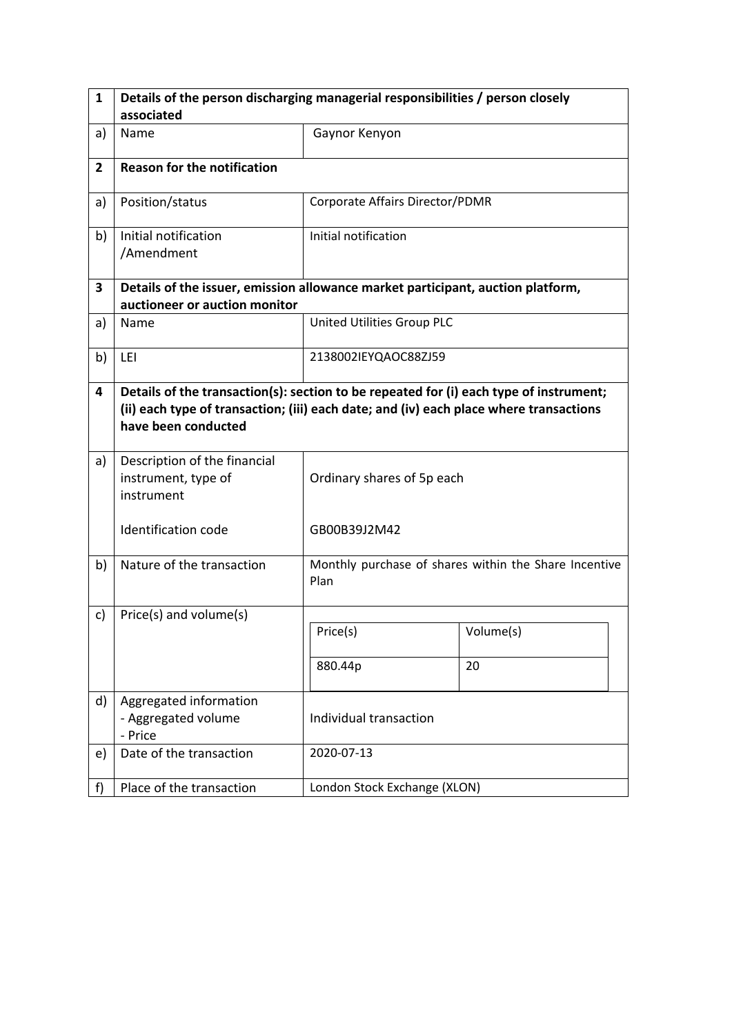| $\mathbf{1}$   | Details of the person discharging managerial responsibilities / person closely                                                                                                                          |                                 |                                                       |  |  |  |
|----------------|---------------------------------------------------------------------------------------------------------------------------------------------------------------------------------------------------------|---------------------------------|-------------------------------------------------------|--|--|--|
|                | associated                                                                                                                                                                                              |                                 |                                                       |  |  |  |
| a)             | Name                                                                                                                                                                                                    | Gaynor Kenyon                   |                                                       |  |  |  |
| $\overline{2}$ | <b>Reason for the notification</b>                                                                                                                                                                      |                                 |                                                       |  |  |  |
| a)             | Position/status                                                                                                                                                                                         | Corporate Affairs Director/PDMR |                                                       |  |  |  |
| b)             | Initial notification<br>/Amendment                                                                                                                                                                      | Initial notification            |                                                       |  |  |  |
| 3              | Details of the issuer, emission allowance market participant, auction platform,                                                                                                                         |                                 |                                                       |  |  |  |
|                | auctioneer or auction monitor                                                                                                                                                                           |                                 |                                                       |  |  |  |
| a)             | Name                                                                                                                                                                                                    | United Utilities Group PLC      |                                                       |  |  |  |
| b)             | LEI                                                                                                                                                                                                     | 2138002IEYQAOC88ZJ59            |                                                       |  |  |  |
| 4              | Details of the transaction(s): section to be repeated for (i) each type of instrument;<br>(ii) each type of transaction; (iii) each date; and (iv) each place where transactions<br>have been conducted |                                 |                                                       |  |  |  |
| a)             | Description of the financial<br>instrument, type of<br>instrument                                                                                                                                       | Ordinary shares of 5p each      |                                                       |  |  |  |
|                | Identification code                                                                                                                                                                                     | GB00B39J2M42                    |                                                       |  |  |  |
| b)             | Nature of the transaction                                                                                                                                                                               | Plan                            | Monthly purchase of shares within the Share Incentive |  |  |  |
| c)             | Price(s) and volume(s)                                                                                                                                                                                  |                                 |                                                       |  |  |  |
|                |                                                                                                                                                                                                         | Price(s)                        | Volume(s)                                             |  |  |  |
|                |                                                                                                                                                                                                         | 880.44p                         | 20                                                    |  |  |  |
| d)             | Aggregated information<br>- Aggregated volume<br>- Price                                                                                                                                                | Individual transaction          |                                                       |  |  |  |
| e)             | Date of the transaction                                                                                                                                                                                 | 2020-07-13                      |                                                       |  |  |  |
| f              | Place of the transaction                                                                                                                                                                                | London Stock Exchange (XLON)    |                                                       |  |  |  |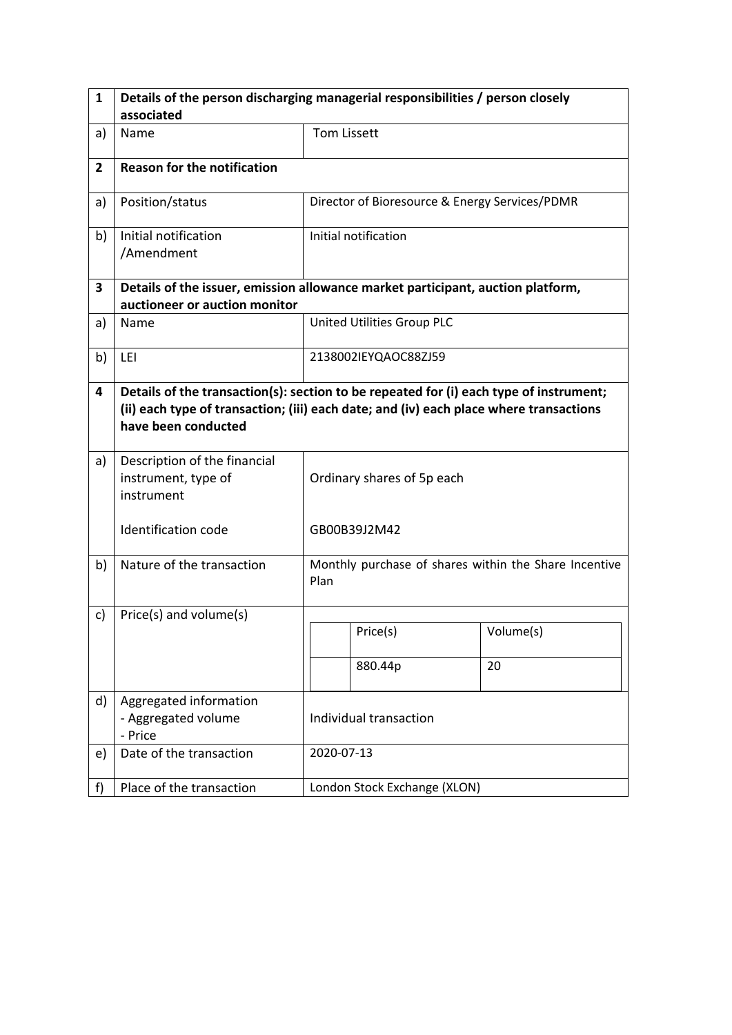| $\mathbf{1}$   | Details of the person discharging managerial responsibilities / person closely  |                                                                                                                                                                                  |                                                       |           |  |
|----------------|---------------------------------------------------------------------------------|----------------------------------------------------------------------------------------------------------------------------------------------------------------------------------|-------------------------------------------------------|-----------|--|
|                | associated                                                                      |                                                                                                                                                                                  |                                                       |           |  |
| a)             | Name                                                                            | <b>Tom Lissett</b>                                                                                                                                                               |                                                       |           |  |
| $\overline{2}$ | <b>Reason for the notification</b>                                              |                                                                                                                                                                                  |                                                       |           |  |
| a)             | Position/status                                                                 |                                                                                                                                                                                  | Director of Bioresource & Energy Services/PDMR        |           |  |
| b)             | Initial notification<br>/Amendment                                              |                                                                                                                                                                                  | Initial notification                                  |           |  |
| 3              | Details of the issuer, emission allowance market participant, auction platform, |                                                                                                                                                                                  |                                                       |           |  |
|                | auctioneer or auction monitor                                                   |                                                                                                                                                                                  |                                                       |           |  |
| a)             | Name                                                                            |                                                                                                                                                                                  | United Utilities Group PLC                            |           |  |
| b)             | LEI                                                                             |                                                                                                                                                                                  | 2138002IEYQAOC88ZJ59                                  |           |  |
| 4              | have been conducted                                                             | Details of the transaction(s): section to be repeated for (i) each type of instrument;<br>(ii) each type of transaction; (iii) each date; and (iv) each place where transactions |                                                       |           |  |
| a)             | Description of the financial<br>instrument, type of<br>instrument               | Ordinary shares of 5p each                                                                                                                                                       |                                                       |           |  |
|                | <b>Identification code</b>                                                      |                                                                                                                                                                                  | GB00B39J2M42                                          |           |  |
| b)             | Nature of the transaction                                                       | Plan                                                                                                                                                                             | Monthly purchase of shares within the Share Incentive |           |  |
| c)             | Price(s) and volume(s)                                                          |                                                                                                                                                                                  |                                                       |           |  |
|                |                                                                                 |                                                                                                                                                                                  | Price(s)                                              | Volume(s) |  |
|                |                                                                                 |                                                                                                                                                                                  | 880.44p                                               | 20        |  |
| d)             | Aggregated information<br>- Aggregated volume<br>- Price                        | Individual transaction                                                                                                                                                           |                                                       |           |  |
| e)             | Date of the transaction                                                         |                                                                                                                                                                                  | 2020-07-13                                            |           |  |
| f              | Place of the transaction                                                        |                                                                                                                                                                                  | London Stock Exchange (XLON)                          |           |  |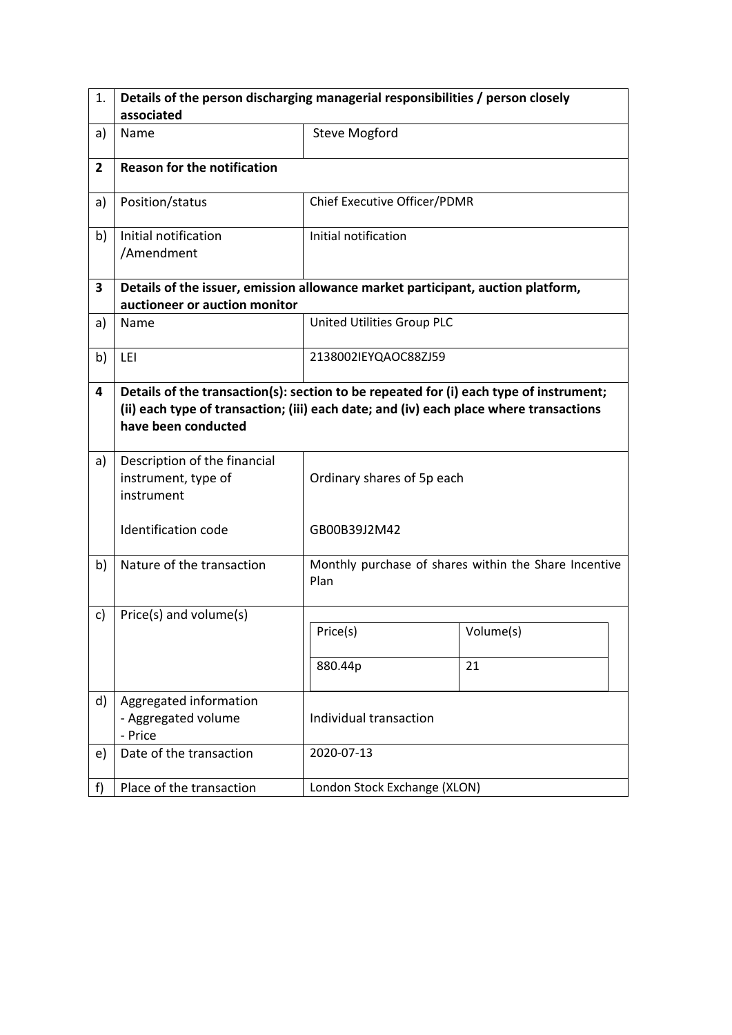| 1.             | Details of the person discharging managerial responsibilities / person closely                                                                                                                          |                              |                                                       |  |  |  |
|----------------|---------------------------------------------------------------------------------------------------------------------------------------------------------------------------------------------------------|------------------------------|-------------------------------------------------------|--|--|--|
|                | associated                                                                                                                                                                                              |                              |                                                       |  |  |  |
| a)             | Name                                                                                                                                                                                                    | <b>Steve Mogford</b>         |                                                       |  |  |  |
| $\overline{2}$ | <b>Reason for the notification</b>                                                                                                                                                                      |                              |                                                       |  |  |  |
| a)             | Position/status                                                                                                                                                                                         | Chief Executive Officer/PDMR |                                                       |  |  |  |
| b)             | Initial notification<br>/Amendment                                                                                                                                                                      | Initial notification         |                                                       |  |  |  |
| 3              | Details of the issuer, emission allowance market participant, auction platform,                                                                                                                         |                              |                                                       |  |  |  |
|                | auctioneer or auction monitor                                                                                                                                                                           |                              |                                                       |  |  |  |
| a)             | Name                                                                                                                                                                                                    | United Utilities Group PLC   |                                                       |  |  |  |
| b)             | LEI                                                                                                                                                                                                     | 2138002IEYQAOC88ZJ59         |                                                       |  |  |  |
| 4              | Details of the transaction(s): section to be repeated for (i) each type of instrument;<br>(ii) each type of transaction; (iii) each date; and (iv) each place where transactions<br>have been conducted |                              |                                                       |  |  |  |
| a)             | Description of the financial<br>instrument, type of<br>instrument                                                                                                                                       | Ordinary shares of 5p each   |                                                       |  |  |  |
|                | Identification code                                                                                                                                                                                     | GB00B39J2M42                 |                                                       |  |  |  |
| b)             | Nature of the transaction                                                                                                                                                                               | Plan                         | Monthly purchase of shares within the Share Incentive |  |  |  |
| c)             | Price(s) and volume(s)                                                                                                                                                                                  |                              |                                                       |  |  |  |
|                |                                                                                                                                                                                                         | Price(s)                     | Volume(s)                                             |  |  |  |
|                |                                                                                                                                                                                                         | 880.44p                      | 21                                                    |  |  |  |
| d)             | Aggregated information<br>- Aggregated volume<br>- Price                                                                                                                                                | Individual transaction       |                                                       |  |  |  |
| e)             | Date of the transaction                                                                                                                                                                                 | 2020-07-13                   |                                                       |  |  |  |
| f              | Place of the transaction                                                                                                                                                                                | London Stock Exchange (XLON) |                                                       |  |  |  |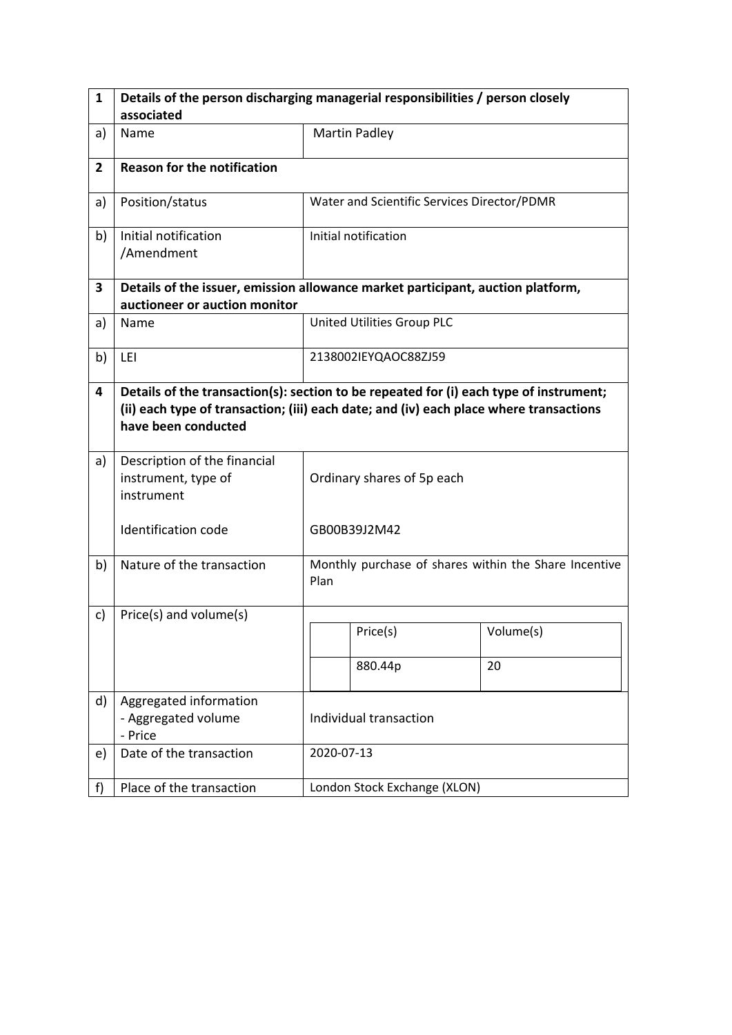| 1              | Details of the person discharging managerial responsibilities / person closely                                                                                                                          |                            |                                                       |           |  |
|----------------|---------------------------------------------------------------------------------------------------------------------------------------------------------------------------------------------------------|----------------------------|-------------------------------------------------------|-----------|--|
|                | associated                                                                                                                                                                                              |                            |                                                       |           |  |
| a)             | Name                                                                                                                                                                                                    |                            | <b>Martin Padley</b>                                  |           |  |
| $\overline{2}$ | <b>Reason for the notification</b>                                                                                                                                                                      |                            |                                                       |           |  |
| a)             | Position/status                                                                                                                                                                                         |                            | Water and Scientific Services Director/PDMR           |           |  |
| b)             | Initial notification<br>/Amendment                                                                                                                                                                      |                            | Initial notification                                  |           |  |
| 3              | Details of the issuer, emission allowance market participant, auction platform,                                                                                                                         |                            |                                                       |           |  |
|                | auctioneer or auction monitor                                                                                                                                                                           |                            |                                                       |           |  |
| a)             | Name                                                                                                                                                                                                    |                            | United Utilities Group PLC                            |           |  |
| b)             | LEI                                                                                                                                                                                                     |                            | 2138002IEYQAOC88ZJ59                                  |           |  |
| 4              | Details of the transaction(s): section to be repeated for (i) each type of instrument;<br>(ii) each type of transaction; (iii) each date; and (iv) each place where transactions<br>have been conducted |                            |                                                       |           |  |
| a)             | Description of the financial<br>instrument, type of<br>instrument                                                                                                                                       | Ordinary shares of 5p each |                                                       |           |  |
|                | <b>Identification code</b>                                                                                                                                                                              |                            | GB00B39J2M42                                          |           |  |
| b)             | Nature of the transaction                                                                                                                                                                               | Plan                       | Monthly purchase of shares within the Share Incentive |           |  |
| c)             | Price(s) and volume(s)                                                                                                                                                                                  |                            |                                                       |           |  |
|                |                                                                                                                                                                                                         |                            | Price(s)                                              | Volume(s) |  |
|                |                                                                                                                                                                                                         |                            | 880.44p                                               | 20        |  |
| d)             | Aggregated information<br>- Aggregated volume<br>- Price                                                                                                                                                | Individual transaction     |                                                       |           |  |
| e)             | Date of the transaction                                                                                                                                                                                 |                            | 2020-07-13                                            |           |  |
| f)             | Place of the transaction                                                                                                                                                                                |                            | London Stock Exchange (XLON)                          |           |  |